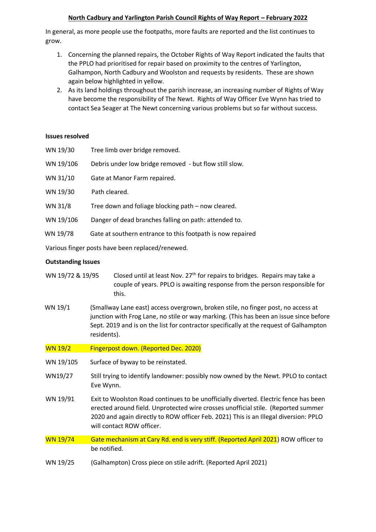## **North Cadbury and Yarlington Parish Council Rights of Way Report – February 2022**

In general, as more people use the footpaths, more faults are reported and the list continues to grow.

- 1. Concerning the planned repairs, the October Rights of Way Report indicated the faults that the PPLO had prioritised for repair based on proximity to the centres of Yarlington, Galhampon, North Cadbury and Woolston and requests by residents. These are shown again below highlighted in yellow.
- 2. As its land holdings throughout the parish increase, an increasing number of Rights of Way have become the responsibility of The Newt. Rights of Way Officer Eve Wynn has tried to contact Sea Seager at The Newt concerning various problems but so far without success.

## **Issues resolved**

| WN 19/30  | Tree limb over bridge removed.                             |
|-----------|------------------------------------------------------------|
| WN 19/106 | Debris under low bridge removed - but flow still slow.     |
| WN 31/10  | Gate at Manor Farm repaired.                               |
| WN 19/30  | Path cleared.                                              |
| WN 31/8   | Tree down and foliage blocking path – now cleared.         |
| WN 19/106 | Danger of dead branches falling on path: attended to.      |
| WN 19/78  | Gate at southern entrance to this footpath is now repaired |
|           |                                                            |

Various finger posts have been replaced/renewed.

## **Outstanding Issues**

- WN 19/72 & 19/95 Closed until at least Nov.  $27<sup>th</sup>$  for repairs to bridges. Repairs may take a couple of years. PPLO is awaiting response from the person responsible for this.
- WN 19/1 (Smallway Lane east) access overgrown, broken stile, no finger post, no access at junction with Frog Lane, no stile or way marking. (This has been an issue since before Sept. 2019 and is on the list for contractor specifically at the request of Galhampton residents).
- WN 19/2 Fingerpost down. (Reported Dec. 2020)
- WN 19/105 Surface of byway to be reinstated.
- WN19/27 Still trying to identify landowner: possibly now owned by the Newt. PPLO to contact Eve Wynn.
- WN 19/91 Exit to Woolston Road continues to be unofficially diverted. Electric fence has been erected around field. Unprotected wire crosses unofficial stile. (Reported summer 2020 and again directly to ROW officer Feb. 2021) This is an Illegal diversion: PPLO will contact ROW officer.
- WN 19/74 Gate mechanism at Cary Rd. end is very stiff. (Reported April 2021) ROW officer to be notified.
- WN 19/25 (Galhampton) Cross piece on stile adrift. (Reported April 2021)